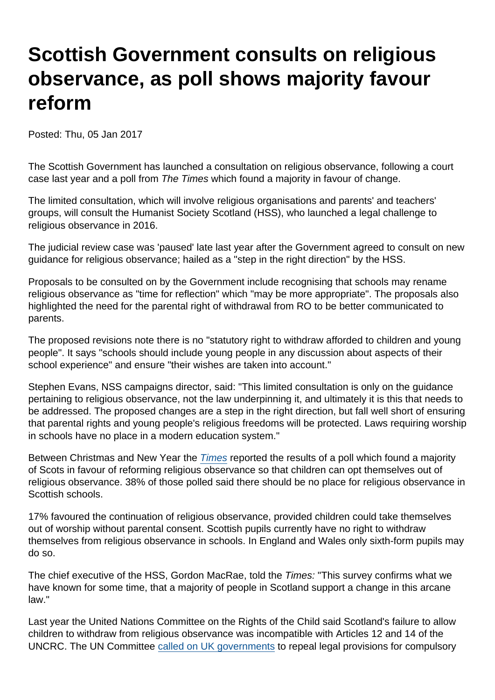## Scottish Government consults on religious observance, as poll shows majority favour reform

Posted: Thu, 05 Jan 2017

The Scottish Government has launched a consultation on religious observance, following a court case last year and a poll from The Times which found a majority in favour of change.

The limited consultation, which will involve religious organisations and parents' and teachers' groups, will consult the Humanist Society Scotland (HSS), who launched a legal challenge to religious observance in 2016.

The judicial review case was 'paused' late last year after the Government agreed to consult on new guidance for religious observance; hailed as a "step in the right direction" by the HSS.

Proposals to be consulted on by the Government include recognising that schools may rename religious observance as "time for reflection" which "may be more appropriate". The proposals also highlighted the need for the parental right of withdrawal from RO to be better communicated to parents.

The proposed revisions note there is no "statutory right to withdraw afforded to children and young people". It says "schools should include young people in any discussion about aspects of their school experience" and ensure "their wishes are taken into account."

Stephen Evans, NSS campaigns director, said: "This limited consultation is only on the guidance pertaining to religious observance, not the law underpinning it, and ultimately it is this that needs to be addressed. The proposed changes are a step in the right direction, but fall well short of ensuring that parental rights and young people's religious freedoms will be protected. Laws requiring worship in schools have no place in a modern education system."

Between Christmas and New Year the [Times](http://www.thetimes.co.uk/edition/scotland/take-religion-out-of-the-classroom-9j6x06mzw) reported the results of a poll which found a majority of Scots in favour of reforming religious observance so that children can opt themselves out of religious observance. 38% of those polled said there should be no place for religious observance in Scottish schools.

17% favoured the continuation of religious observance, provided children could take themselves out of worship without parental consent. Scottish pupils currently have no right to withdraw themselves from religious observance in schools. In England and Wales only sixth-form pupils may do so.

The chief executive of the HSS, Gordon MacRae, told the Times: "This survey confirms what we have known for some time, that a majority of people in Scotland support a change in this arcane law."

Last year the United Nations Committee on the Rights of the Child said Scotland's failure to allow children to withdraw from religious observance was incompatible with Articles 12 and 14 of the UNCRC. The UN Committee [called on UK governments](https://www.secularism.org.uk/news/2016/06/un-childrens-rights-committee-calls-on-uk-to-abolish-compulsory-worship-in-schools) to repeal legal provisions for compulsory